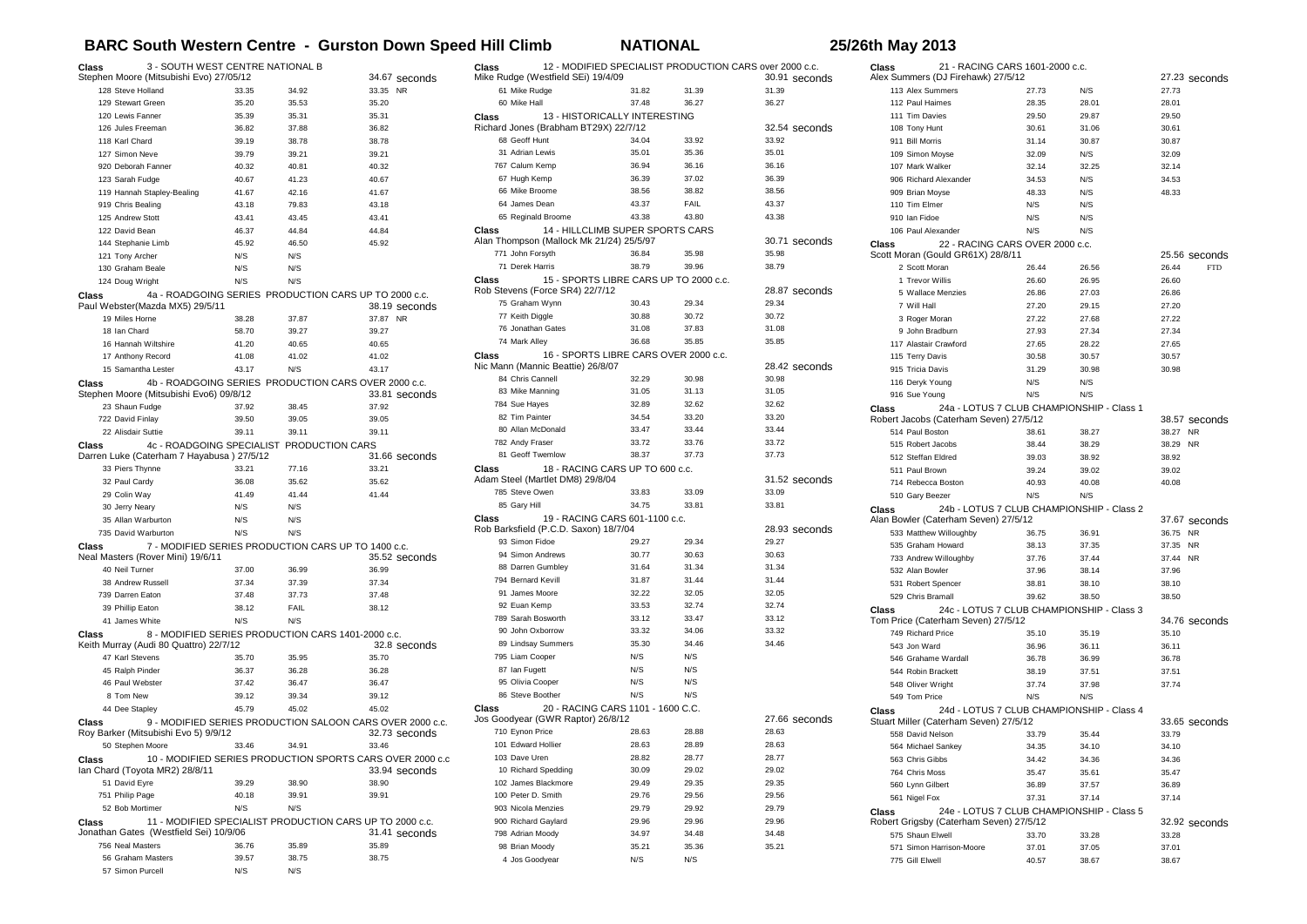## **BARC South Western Centre - Gurston Down Speed Hill Climb NATIONAL 25/26th May 2013**

| 3 - SOUTH WEST CENTRE NATIONAL B<br>Class<br>Stephen Moore (Mitsubishi Evo) 27/05/12<br>34.67 seconds |                                           |       |       | 12 - MODIFIED SPECIALIST PRODUCTION CARS over 2000 c.c.<br>Class<br>Mike Rudge (Westfield SEi) 19/4/09 |                                                  |                                        | 30.91 seconds | 21 - RACING CARS 1601-2000 c.c.<br>Class<br>Alex Summers (DJ Firehawk) 27/5/12 |                                                 |                                 | 27.23 seconds                             |                     |
|-------------------------------------------------------------------------------------------------------|-------------------------------------------|-------|-------|--------------------------------------------------------------------------------------------------------|--------------------------------------------------|----------------------------------------|---------------|--------------------------------------------------------------------------------|-------------------------------------------------|---------------------------------|-------------------------------------------|---------------------|
|                                                                                                       | 128 Steve Holland                         | 33.35 | 34.92 | 33.35 NR                                                                                               | 61 Mike Rudge                                    | 31.82                                  | 31.39         | 31.39                                                                          | 113 Alex Summers                                | 27.73                           | N/S                                       | 27.73               |
|                                                                                                       | 129 Stewart Green                         | 35.20 | 35.53 | 35.20                                                                                                  | 60 Mike Hall                                     | 37.48                                  | 36.27         | 36.27                                                                          | 112 Paul Haimes                                 | 28.35                           | 28.01                                     | 28.01               |
|                                                                                                       | 120 Lewis Fanner                          | 35.39 | 35.31 | 35.31                                                                                                  | <b>Class</b>                                     | 13 - HISTORICALLY INTERESTING          |               |                                                                                | 111 Tim Davies                                  | 29.50                           | 29.87                                     | 29.50               |
|                                                                                                       | 126 Jules Freeman                         | 36.82 | 37.88 | 36.82                                                                                                  | Richard Jones (Brabham BT29X) 22/7/12            |                                        |               | 32.54 seconds                                                                  | 108 Tony Hunt                                   | 30.61                           | 31.06                                     | 30.61               |
| 118 Karl Chard                                                                                        |                                           | 39.19 | 38.78 | 38.78                                                                                                  | 68 Geoff Hunt                                    | 34.04                                  | 33.92         | 33.92                                                                          | 911 Bill Morris                                 | 31.14                           | 30.87                                     | 30.87               |
|                                                                                                       | 127 Simon Neve                            | 39.79 | 39.21 | 39.21                                                                                                  | 31 Adrian Lewis                                  | 35.01                                  | 35.36         | 35.01                                                                          | 109 Simon Moyse                                 | 32.09                           | N/S                                       | 32.09               |
|                                                                                                       | 920 Deborah Fanner                        | 40.32 | 40.81 | 40.32                                                                                                  | 767 Calum Kemp                                   | 36.94                                  | 36.16         | 36.16                                                                          | 107 Mark Walker                                 | 32.14                           | 32.25                                     | 32.14               |
|                                                                                                       | 123 Sarah Fudge                           | 40.67 | 41.23 | 40.67                                                                                                  | 67 Hugh Kemp                                     | 36.39                                  | 37.02         | 36.39                                                                          | 906 Richard Alexander                           | 34.53                           | N/S                                       | 34.53               |
|                                                                                                       | 119 Hannah Stapley-Bealing                | 41.67 | 42.16 | 41.67                                                                                                  | 66 Mike Broome                                   | 38.56                                  | 38.82         | 38.56                                                                          | 909 Brian Moyse                                 | 48.33                           | N/S                                       | 48.33               |
|                                                                                                       | 919 Chris Bealing                         | 43.18 | 79.83 | 43.18                                                                                                  | 64 James Dean                                    | 43.37                                  | FAIL          | 43.37                                                                          | 110 Tim Elmer                                   | N/S                             | N/S                                       |                     |
|                                                                                                       | 125 Andrew Stott                          | 43.41 | 43.45 | 43.41                                                                                                  | 65 Reginald Broome                               | 43.38                                  | 43.80         | 43.38                                                                          | 910 Ian Fidoe                                   | N/S                             | N/S                                       |                     |
|                                                                                                       | 122 David Bean                            | 46.37 | 44.84 | 44.84                                                                                                  | Class                                            | 14 - HILLCLIMB SUPER SPORTS CARS       |               |                                                                                | 106 Paul Alexander                              | N/S                             | N/S                                       |                     |
|                                                                                                       | 144 Stephanie Limb                        | 45.92 | 46.50 | 45.92                                                                                                  | Alan Thompson (Mallock Mk 21/24) 25/5/97         |                                        |               | 30.71 seconds                                                                  | Class                                           | 22 - RACING CARS OVER 2000 c.c. |                                           |                     |
|                                                                                                       | 121 Tony Archer                           | N/S   | N/S   |                                                                                                        | 771 John Forsyth                                 | 36.84                                  | 35.98         | 35.98                                                                          | Scott Moran (Gould GR61X) 28/8/11               |                                 |                                           | 25.56 seconds       |
|                                                                                                       | 130 Graham Beale                          | N/S   | N/S   |                                                                                                        | 71 Derek Harris                                  | 38.79                                  | 39.96         | 38.79                                                                          | 2 Scott Moran                                   | 26.44                           | 26.56                                     | 26.44<br><b>FTD</b> |
|                                                                                                       | 124 Doug Wright                           | N/S   | N/S   |                                                                                                        | <b>Class</b>                                     | 15 - SPORTS LIBRE CARS UP TO 2000 c.c. |               |                                                                                | 1 Trevor Willis                                 | 26.60                           | 26.95                                     | 26.60               |
| Class                                                                                                 |                                           |       |       | 4a - ROADGOING SERIES PRODUCTION CARS UP TO 2000 c.c.                                                  | Rob Stevens (Force SR4) 22/7/12                  |                                        |               | 28.87 seconds                                                                  | 5 Wallace Menzies                               | 26.86                           | 27.03                                     | 26.86               |
|                                                                                                       | Paul Webster(Mazda MX5) 29/5/11           |       |       | 38.19 seconds                                                                                          | 75 Graham Wynn                                   | 30.43                                  | 29.34         | 29.34                                                                          | 7 Will Hall                                     | 27.20                           | 29.15                                     | 27.20               |
|                                                                                                       | 19 Miles Horne                            | 38.28 | 37.87 | 37.87 NR                                                                                               | 77 Keith Diggle                                  | 30.88                                  | 30.72         | 30.72                                                                          | 3 Roger Moran                                   | 27.22                           | 27.68                                     | 27.22               |
| 18 Ian Chard                                                                                          |                                           | 58.70 | 39.27 | 39.27                                                                                                  | 76 Jonathan Gates                                | 31.08                                  | 37.83         | 31.08                                                                          | 9 John Bradburn                                 | 27.93                           | 27.34                                     | 27.34               |
|                                                                                                       | 16 Hannah Wiltshire                       | 41.20 | 40.65 | 40.65                                                                                                  | 74 Mark Alley                                    | 36.68                                  | 35.85         | 35.85                                                                          | 117 Alastair Crawford                           | 27.65                           | 28.22                                     | 27.65               |
|                                                                                                       | 17 Anthony Record                         | 41.08 | 41.02 | 41.02                                                                                                  | Class                                            | 16 - SPORTS LIBRE CARS OVER 2000 c.c.  |               |                                                                                | 115 Terry Davis                                 | 30.58                           | 30.57                                     | 30.57               |
|                                                                                                       | 15 Samantha Lester                        | 43.17 | N/S   | 43.17                                                                                                  | Nic Mann (Mannic Beattie) 26/8/07                |                                        |               | 28.42 seconds                                                                  | 915 Tricia Davis                                | 31.29                           | 30.98                                     | 30.98               |
| <b>Class</b>                                                                                          |                                           |       |       | 4b - ROADGOING SERIES PRODUCTION CARS OVER 2000 c.c.                                                   | 84 Chris Cannell                                 | 32.29                                  | 30.98         | 30.98                                                                          | 116 Deryk Young                                 | N/S                             | N/S                                       |                     |
|                                                                                                       | Stephen Moore (Mitsubishi Evo6) 09/8/12   |       |       | 33.81 seconds                                                                                          | 83 Mike Manning                                  | 31.05                                  | 31.13         | 31.05                                                                          | 916 Sue Young                                   | N/S                             | N/S                                       |                     |
|                                                                                                       | 23 Shaun Fudge                            | 37.92 | 38.45 | 37.92                                                                                                  | 784 Sue Hayes                                    | 32.89                                  | 32.62         | 32.62                                                                          | Class                                           |                                 | 24a - LOTUS 7 CLUB CHAMPIONSHIP - Class 1 |                     |
|                                                                                                       | 722 David Finlay                          | 39.50 | 39.05 | 39.05                                                                                                  | 82 Tim Painter                                   | 34.54                                  | 33.20         | 33.20                                                                          | Robert Jacobs (Caterham Seven) 27/5/12          |                                 |                                           | 38.57 seconds       |
|                                                                                                       | 22 Alisdair Suttie                        | 39.11 | 39.11 | 39.11                                                                                                  | 80 Allan McDonald                                | 33.47                                  | 33.44         | 33.44                                                                          | 514 Paul Boston                                 | 38.61                           | 38.27                                     | 38.27 NR            |
| <b>Class</b>                                                                                          | 4c - ROADGOING SPECIALIST PRODUCTION CARS |       |       |                                                                                                        | 782 Andy Fraser                                  | 33.72                                  | 33.76         | 33.72                                                                          | 515 Robert Jacobs                               | 38.44                           | 38.29                                     | 38.29 NR            |
|                                                                                                       | Darren Luke (Caterham 7 Hayabusa) 27/5/12 |       |       | 31.66 seconds                                                                                          | 81 Geoff Twemlow                                 | 38.37                                  | 37.73         | 37.73                                                                          | 512 Steffan Eldred                              | 39.03                           | 38.92                                     | 38.92               |
|                                                                                                       | 33 Piers Thynne                           | 33.21 | 77.16 | 33.21                                                                                                  | <b>Class</b><br>Adam Steel (Martlet DM8) 29/8/04 | 18 - RACING CARS UP TO 600 c.c.        |               | 31.52 seconds                                                                  | 511 Paul Brown                                  | 39.24                           | 39.02                                     | 39.02               |
|                                                                                                       | 32 Paul Cardy                             | 36.08 | 35.62 | 35.62                                                                                                  | 785 Steve Owen                                   | 33.83                                  | 33.09         | 33.09                                                                          | 714 Rebecca Boston                              | 40.93                           | 40.08                                     | 40.08               |
| 29 Colin Wav                                                                                          |                                           | 41.49 | 41.44 | 41.44                                                                                                  | 85 Gary Hill                                     | 34.75                                  | 33.81         | 33.81                                                                          | 510 Gary Beezer                                 | N/S                             | N/S                                       |                     |
|                                                                                                       | 30 Jerry Neary                            | N/S   | N/S   |                                                                                                        |                                                  | 19 - RACING CARS 601-1100 c.c.         |               |                                                                                | Class                                           |                                 | 24b - LOTUS 7 CLUB CHAMPIONSHIP - Class 2 |                     |
|                                                                                                       | 35 Allan Warburton                        | N/S   | N/S   |                                                                                                        | Class<br>Rob Barksfield (P.C.D. Saxon) 18/7/04   |                                        |               | 28.93 seconds                                                                  | Alan Bowler (Caterham Seven) 27/5/12            |                                 |                                           | 37.67 seconds       |
|                                                                                                       | 735 David Warburton                       | N/S   | N/S   |                                                                                                        | 93 Simon Fidoe                                   | 29.27                                  | 29.34         | 29.27                                                                          | 533 Matthew Willoughby                          | 36.75                           | 36.91                                     | 36.75 NR            |
| Class                                                                                                 | Neal Masters (Rover Mini) 19/6/11         |       |       | 7 - MODIFIED SERIES PRODUCTION CARS UP TO 1400 c.c.                                                    | 94 Simon Andrews                                 | 30.77                                  | 30.63         | 30.63                                                                          | 535 Graham Howard                               | 38.13                           | 37.35                                     | 37.35 NR            |
|                                                                                                       | 40 Neil Turner                            | 37.00 | 36.99 | 35.52 seconds<br>36.99                                                                                 | 88 Darren Gumbley                                | 31.64                                  | 31.34         | 31.34                                                                          | 733 Andrew Willoughby                           | 37.76                           | 37.44                                     | 37.44 NR            |
|                                                                                                       | 38 Andrew Russell                         | 37.34 | 37.39 | 37.34                                                                                                  | 794 Bernard Kevill                               | 31.87                                  | 31.44         | 31.44                                                                          | 532 Alan Bowler                                 | 37.96                           | 38.14                                     | 37.96               |
|                                                                                                       | 739 Darren Eaton                          | 37.48 | 37.73 | 37.48                                                                                                  | 91 James Moore                                   | 32.22                                  | 32.05         | 32.05                                                                          | 531 Robert Spencer<br>529 Chris Bramall         | 38.81                           | 38.10                                     | 38.10               |
|                                                                                                       | 39 Phillip Eaton                          | 38.12 | FAIL  | 38.12                                                                                                  | 92 Euan Kemp                                     | 33.53                                  | 32.74         | 32.74                                                                          |                                                 | 39.62                           | 38.50                                     | 38.50               |
|                                                                                                       | 41 James White                            | N/S   | N/S   |                                                                                                        | 789 Sarah Bosworth                               | 33.12                                  | 33.47         | 33.12                                                                          | Class<br>Tom Price (Caterham Seven) 27/5/12     |                                 | 24c - LOTUS 7 CLUB CHAMPIONSHIP - Class 3 | 34.76 seconds       |
|                                                                                                       |                                           |       |       |                                                                                                        | 90 John Oxborrow                                 | 33.32                                  | 34.06         | 33.32                                                                          | 749 Richard Price                               | 35.10                           | 35.19                                     | 35.10               |
| <b>Class</b>                                                                                          | Keith Murray (Audi 80 Quattro) 22/7/12    |       |       | 8 - MODIFIED SERIES PRODUCTION CARS 1401-2000 c.c.<br>32.8 seconds                                     | 89 Lindsay Summers                               | 35.30                                  | 34.46         | 34.46                                                                          | 543 Jon Ward                                    | 36.96                           | 36.11                                     | 36.11               |
|                                                                                                       | 47 Karl Stevens                           | 35.70 | 35.95 | 35.70                                                                                                  | 795 Liam Cooper                                  | N/S                                    | N/S           |                                                                                | 546 Grahame Wardall                             | 36.78                           | 36.99                                     | 36.78               |
|                                                                                                       | 45 Ralph Pinder                           | 36.37 | 36.28 | 36.28                                                                                                  | 87 Ian Fugett                                    | N/S                                    | N/S           |                                                                                |                                                 |                                 |                                           |                     |
|                                                                                                       | 46 Paul Webster                           | 37.42 | 36.47 | 36.47                                                                                                  | 95 Olivia Cooper                                 | N/S                                    | N/S           |                                                                                | 544 Robin Brackett                              | 38.19<br>37.74                  | 37.51<br>37.98                            | 37.51<br>37.74      |
| 8 Tom New                                                                                             |                                           | 39.12 | 39.34 | 39.12                                                                                                  | 86 Steve Boother                                 | N/S                                    | N/S           |                                                                                | 548 Oliver Wright<br>549 Tom Price              | N/S                             | N/S                                       |                     |
|                                                                                                       | 44 Dee Staplev                            | 45.79 | 45.02 | 45.02                                                                                                  | <b>Class</b>                                     | 20 - RACING CARS 1101 - 1600 C.C.      |               |                                                                                |                                                 |                                 | 24d - LOTUS 7 CLUB CHAMPIONSHIP - Class 4 |                     |
| <b>Class</b>                                                                                          |                                           |       |       | 9 - MODIFIED SERIES PRODUCTION SALOON CARS OVER 2000 c.c.                                              | Jos Goodyear (GWR Raptor) 26/8/12                |                                        |               | 27.66 seconds                                                                  | Class<br>Stuart Miller (Caterham Seven) 27/5/12 |                                 |                                           | 33.65 seconds       |
|                                                                                                       | Roy Barker (Mitsubishi Evo 5) 9/9/12      |       |       | 32.73 seconds                                                                                          | 710 Eynon Price                                  | 28.63                                  | 28.88         | 28.63                                                                          | 558 David Nelson                                | 33.79                           | 35.44                                     | 33.79               |
|                                                                                                       | 50 Stephen Moore                          | 33.46 | 34.91 | 33.46                                                                                                  | 101 Edward Hollier                               | 28.63                                  | 28.89         | 28.63                                                                          | 564 Michael Sankey                              | 34.35                           | 34.10                                     | 34.10               |
| Class                                                                                                 |                                           |       |       | 10 - MODIFIED SERIES PRODUCTION SPORTS CARS OVER 2000 c.c                                              | 103 Dave Uren                                    | 28.82                                  | 28.77         | 28.77                                                                          | 563 Chris Gibbs                                 | 34.42                           | 34.36                                     | 34.36               |
|                                                                                                       | Ian Chard (Toyota MR2) 28/8/11            |       |       | 33.94 seconds                                                                                          | 10 Richard Spedding                              | 30.09                                  | 29.02         | 29.02                                                                          | 764 Chris Moss                                  | 35.47                           | 35.61                                     | 35.47               |
|                                                                                                       | 51 David Eyre                             | 39.29 | 38.90 | 38.90                                                                                                  | 102 James Blackmore                              | 29.49                                  | 29.35         | 29.35                                                                          | 560 Lynn Gilbert                                | 36.89                           | 37.57                                     | 36.89               |
| 751 Philip Page                                                                                       |                                           | 40.18 | 39.91 | 39.91                                                                                                  | 100 Peter D. Smith                               | 29.76                                  | 29.56         | 29.56                                                                          | 561 Nigel Fox                                   | 37.31                           | 37.14                                     | 37.14               |
|                                                                                                       | 52 Bob Mortimer                           | N/S   | N/S   |                                                                                                        | 903 Nicola Menzies                               | 29.79                                  | 29.92         | 29.79                                                                          | Class                                           |                                 | 24e - LOTUS 7 CLUB CHAMPIONSHIP - Class 5 |                     |
| Class                                                                                                 |                                           |       |       | 11 - MODIFIED SPECIALIST PRODUCTION CARS UP TO 2000 c.c.                                               | 900 Richard Gaylard                              | 29.96                                  | 29.96         | 29.96                                                                          | Robert Grigsby (Caterham Seven) 27/5/12         |                                 |                                           | 32.92 seconds       |
|                                                                                                       | Jonathan Gates (Westfield Sei) 10/9/06    |       |       | 31.41 seconds                                                                                          | 798 Adrian Moody                                 | 34.97                                  | 34.48         | 34.48                                                                          | 575 Shaun Elwell                                | 33.70                           | 33.28                                     | 33.28               |
|                                                                                                       | 756 Neal Masters                          | 36.76 | 35.89 | 35.89                                                                                                  | 98 Brian Moody                                   | 35.21                                  | 35.36         | 35.21                                                                          | 571 Simon Harrison-Moore                        | 37.01                           | 37.05                                     | 37.01               |
|                                                                                                       | 56 Graham Masters                         | 39.57 | 38.75 | 38.75                                                                                                  | 4 Jos Goodyear                                   | N/S                                    | N/S           |                                                                                | 775 Gill Elwell                                 | 40.57                           | 38.67                                     | 38.67               |
|                                                                                                       | 57 Simon Purcell                          | N/S   | N/S   |                                                                                                        |                                                  |                                        |               |                                                                                |                                                 |                                 |                                           |                     |